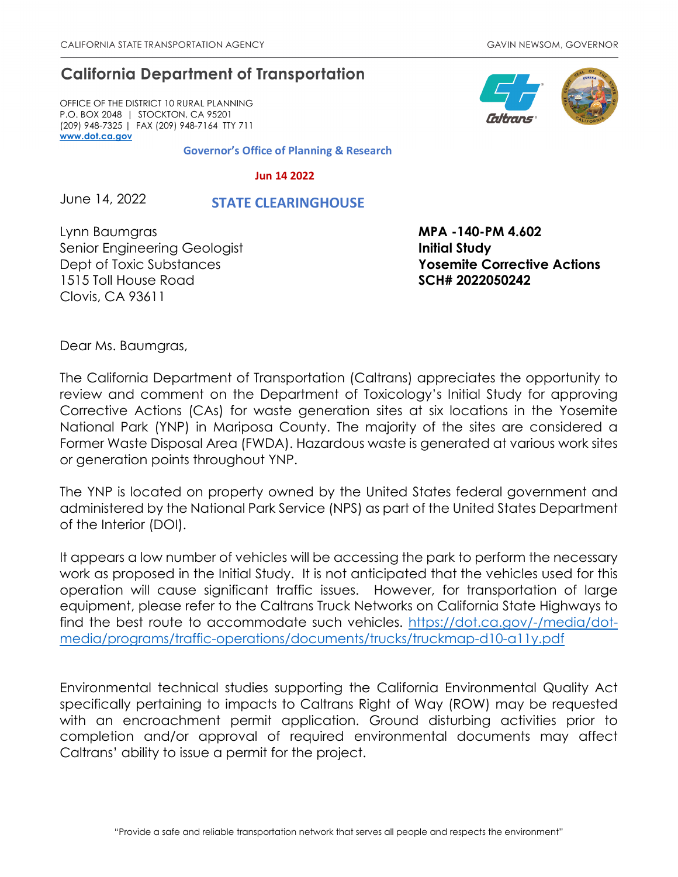## **California Department of Transportation**

OFFICE OF THE DISTRICT 10 RURAL PLANNING P.O. BOX 2048 | STOCKTON, CA 95201 (209) 948-7325 | FAX (209) 948-7164 TTY 711 **[www.dot.ca.gov](http://www.dot.ca.gov/)**

**Governor's Office of Planning & Research**

 **Jun 14 2022**

June 14, 2022  **STATE CLEARINGHOUSE**

Lynn Baumgras **MPA -140-PM 4.602** Senior Engineering Geologist **Initial Study** 1515 Toll House Road **SCH# 2022050242** Clovis, CA 93611

Dept of Toxic Substances **Yosemite Corrective Actions**

Dear Ms. Baumgras,

The California Department of Transportation (Caltrans) appreciates the opportunity to review and comment on the Department of Toxicology's Initial Study for approving Corrective Actions (CAs) for waste generation sites at six locations in the Yosemite National Park (YNP) in Mariposa County. The majority of the sites are considered a Former Waste Disposal Area (FWDA). Hazardous waste is generated at various work sites or generation points throughout YNP.

The YNP is located on property owned by the United States federal government and administered by the National Park Service (NPS) as part of the United States Department of the Interior (DOI).

It appears a low number of vehicles will be accessing the park to perform the necessary work as proposed in the Initial Study. It is not anticipated that the vehicles used for this operation will cause significant traffic issues. However, for transportation of large equipment, please refer to the Caltrans Truck Networks on California State Highways to find the best route to accommodate such vehicles. [https://dot.ca.gov/-/media/dot](https://dot.ca.gov/-/media/dot-media/programs/traffic-operations/documents/trucks/truckmap-d10-a11y.pdf)[media/programs/traffic-operations/documents/trucks/truckmap-d10-a11y.pdf](https://dot.ca.gov/-/media/dot-media/programs/traffic-operations/documents/trucks/truckmap-d10-a11y.pdf)

Environmental technical studies supporting the California Environmental Quality Act specifically pertaining to impacts to Caltrans Right of Way (ROW) may be requested with an encroachment permit application. Ground disturbing activities prior to completion and/or approval of required environmental documents may affect Caltrans' ability to issue a permit for the project.

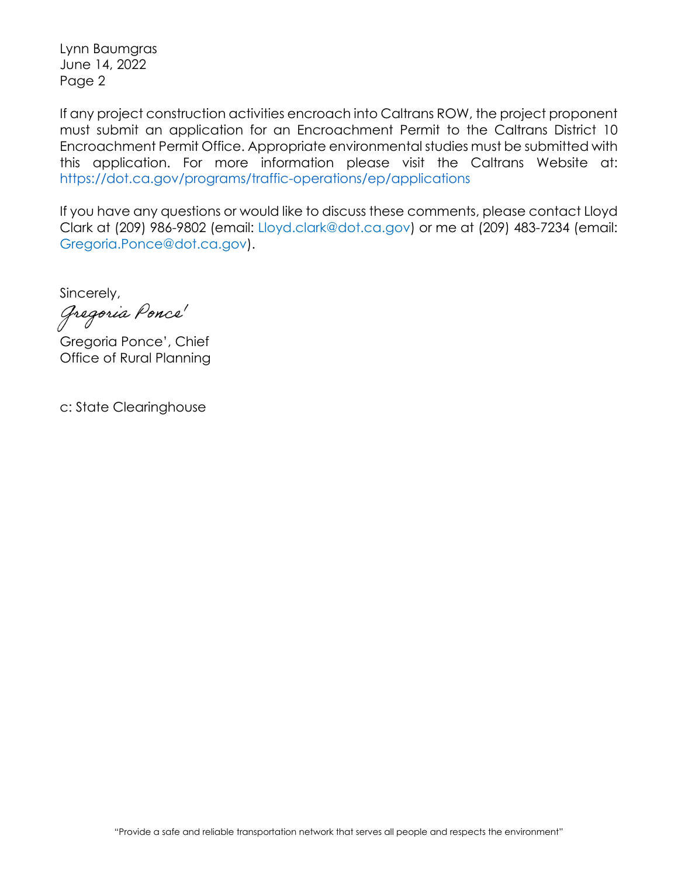Lynn Baumgras June 14, 2022 Page 2

If any project construction activities encroach into Caltrans ROW, the project proponent must submit an application for an Encroachment Permit to the Caltrans District 10 Encroachment Permit Office. Appropriate environmental studies must be submitted with this application. For more information please visit the Caltrans Website at: https://dot.ca.gov/programs/traffic-operations/ep/applications

If you have any questions or would like to discuss these comments, please contact Lloyd Clark at (209) 986-9802 (email: Lloyd.clark@dot.ca.gov) or me at (209) 483-7234 (email: Gregoria.Ponce@dot.ca.gov).

Sincerely,

Gregoria Ponce<sup>r</sup>

Gregoria Ponce', Chief Office of Rural Planning

c: State Clearinghouse